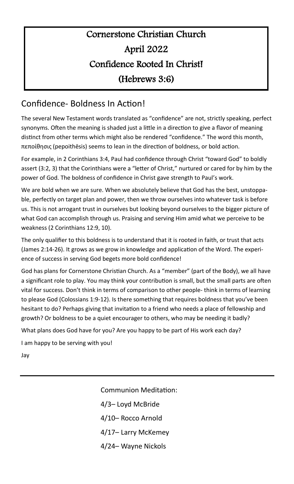## Cornerstone Christian Church April 2022 Confidence Rooted In Christ! (Hebrews 3:6)

## Confidence- Boldness In Action!

The several New Testament words translated as "confidence" are not, strictly speaking, perfect synonyms. Often the meaning is shaded just a little in a direction to give a flavor of meaning distinct from other terms which might also be rendered "confidence." The word this month, πεποίθησις (pepoithēsis) seems to lean in the direction of boldness, or bold action.

For example, in 2 Corinthians 3:4, Paul had confidence through Christ "toward God" to boldly assert (3:2, 3) that the Corinthians were a "letter of Christ," nurtured or cared for by him by the power of God. The boldness of confidence in Christ gave strength to Paul's work.

We are bold when we are sure. When we absolutely believe that God has the best, unstoppable, perfectly on target plan and power, then we throw ourselves into whatever task is before us. This is not arrogant trust in ourselves but looking beyond ourselves to the bigger picture of what God can accomplish through us. Praising and serving Him amid what we perceive to be weakness (2 Corinthians 12:9, 10).

The only qualifier to this boldness is to understand that it is rooted in faith, or trust that acts (James 2:14-26). It grows as we grow in knowledge and application of the Word. The experience of success in serving God begets more bold confidence!

God has plans for Cornerstone Christian Church. As a "member" (part of the Body), we all have a significant role to play. You may think your contribution is small, but the small parts are often vital for success. Don't think in terms of comparison to other people- think in terms of learning to please God (Colossians 1:9-12). Is there something that requires boldness that you've been hesitant to do? Perhaps giving that invitation to a friend who needs a place of fellowship and growth? Or boldness to be a quiet encourager to others, who may be needing it badly?

What plans does God have for you? Are you happy to be part of His work each day?

I am happy to be serving with you!

Jay

Communion Meditation: 4/3– Loyd McBride 4/10– Rocco Arnold 4/17– Larry McKemey

4/24– Wayne Nickols